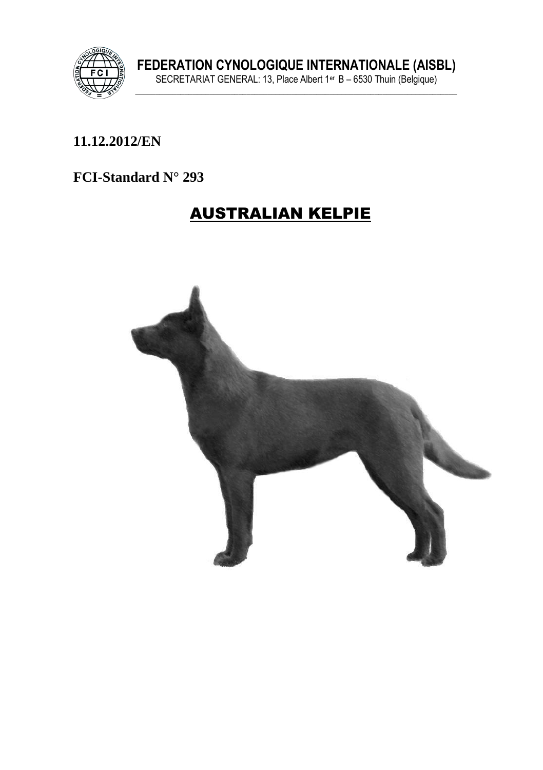

#### 11.12.2012/EN

#### FCI-Standard N° 293

# **AUSTRALIAN KELPIE**

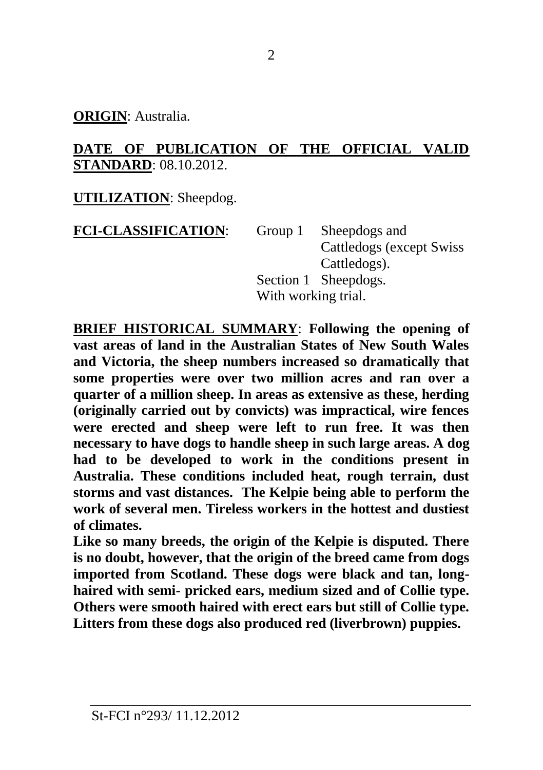**ORIGIN**: Australia.

#### **DATE OF PUBLICATION OF THE OFFICIAL VALID STANDARD**: 08.10.2012.

**UTILIZATION**: Sheepdog.

| <b>FCI-CLASSIFICATION:</b> | Group 1 Sheepdogs and     |  |
|----------------------------|---------------------------|--|
|                            | Cattledogs (except Swiss) |  |
|                            | Cattledogs).              |  |
|                            | Section 1 Sheepdogs.      |  |
|                            | With working trial.       |  |

**BRIEF HISTORICAL SUMMARY**: **Following the opening of vast areas of land in the Australian States of New South Wales and Victoria, the sheep numbers increased so dramatically that some properties were over two million acres and ran over a quarter of a million sheep. In areas as extensive as these, herding (originally carried out by convicts) was impractical, wire fences were erected and sheep were left to run free. It was then necessary to have dogs to handle sheep in such large areas. A dog had to be developed to work in the conditions present in Australia. These conditions included heat, rough terrain, dust storms and vast distances. The Kelpie being able to perform the work of several men. Tireless workers in the hottest and dustiest of climates.**

**Like so many breeds, the origin of the Kelpie is disputed. There is no doubt, however, that the origin of the breed came from dogs imported from Scotland. These dogs were black and tan, longhaired with semi- pricked ears, medium sized and of Collie type. Others were smooth haired with erect ears but still of Collie type. Litters from these dogs also produced red (liverbrown) puppies.**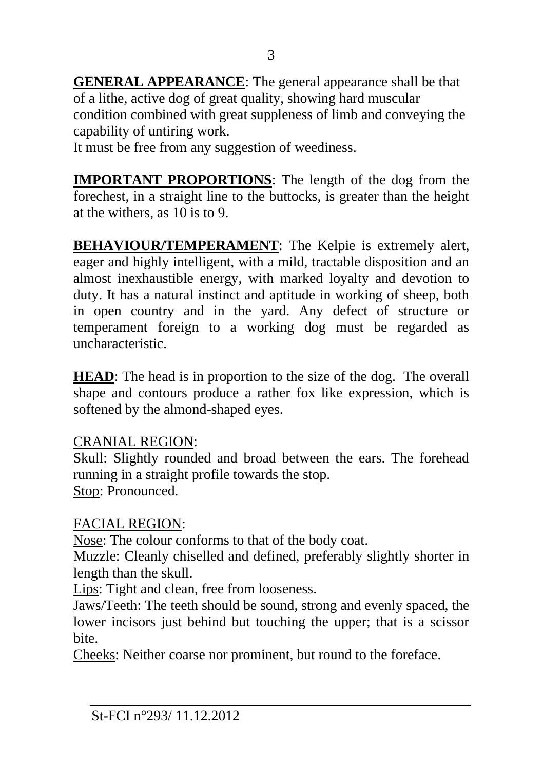**GENERAL APPEARANCE**: The general appearance shall be that of a lithe, active dog of great quality, showing hard muscular condition combined with great suppleness of limb and conveying the capability of untiring work.

It must be free from any suggestion of weediness.

**IMPORTANT PROPORTIONS**: The length of the dog from the forechest, in a straight line to the buttocks, is greater than the height at the withers, as 10 is to 9.

**BEHAVIOUR/TEMPERAMENT**: The Kelpie is extremely alert, eager and highly intelligent, with a mild, tractable disposition and an almost inexhaustible energy, with marked loyalty and devotion to duty. It has a natural instinct and aptitude in working of sheep, both in open country and in the yard. Any defect of structure or temperament foreign to a working dog must be regarded as uncharacteristic.

**HEAD**: The head is in proportion to the size of the dog. The overall shape and contours produce a rather fox like expression, which is softened by the almond-shaped eyes.

#### CRANIAL REGION:

Skull: Slightly rounded and broad between the ears. The forehead running in a straight profile towards the stop. Stop: Pronounced.

## FACIAL REGION:

Nose: The colour conforms to that of the body coat.

Muzzle: Cleanly chiselled and defined, preferably slightly shorter in length than the skull.

Lips: Tight and clean, free from looseness.

Jaws/Teeth: The teeth should be sound, strong and evenly spaced, the lower incisors just behind but touching the upper; that is a scissor bite.

Cheeks: Neither coarse nor prominent, but round to the foreface.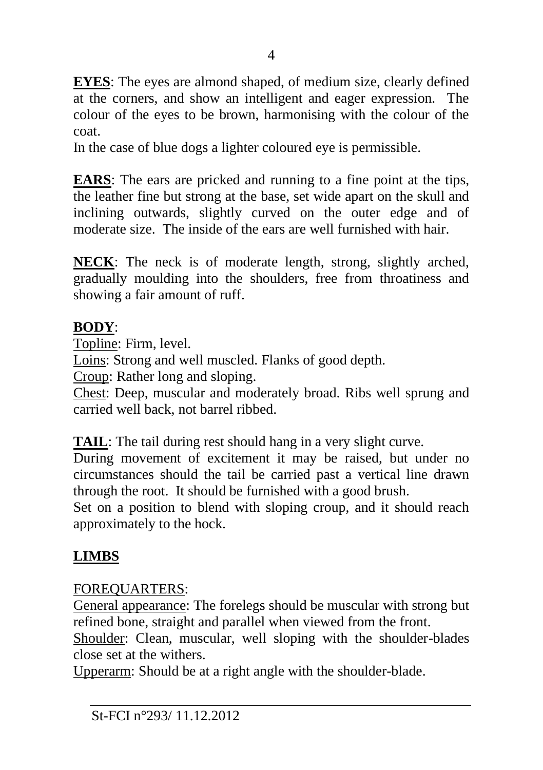**EYES**: The eyes are almond shaped, of medium size, clearly defined at the corners, and show an intelligent and eager expression. The colour of the eyes to be brown, harmonising with the colour of the coat.

In the case of blue dogs a lighter coloured eye is permissible.

**EARS**: The ears are pricked and running to a fine point at the tips, the leather fine but strong at the base, set wide apart on the skull and inclining outwards, slightly curved on the outer edge and of moderate size. The inside of the ears are well furnished with hair.

**NECK**: The neck is of moderate length, strong, slightly arched, gradually moulding into the shoulders, free from throatiness and showing a fair amount of ruff.

## **BODY**:

Topline: Firm, level.

Loins: Strong and well muscled. Flanks of good depth.

Croup: Rather long and sloping.

Chest: Deep, muscular and moderately broad. Ribs well sprung and carried well back, not barrel ribbed.

**TAIL**: The tail during rest should hang in a very slight curve.

During movement of excitement it may be raised, but under no circumstances should the tail be carried past a vertical line drawn through the root. It should be furnished with a good brush.

Set on a position to blend with sloping croup, and it should reach approximately to the hock.

# **LIMBS**

## FOREQUARTERS:

General appearance: The forelegs should be muscular with strong but refined bone, straight and parallel when viewed from the front.

Shoulder: Clean, muscular, well sloping with the shoulder-blades close set at the withers.

Upperarm: Should be at a right angle with the shoulder-blade.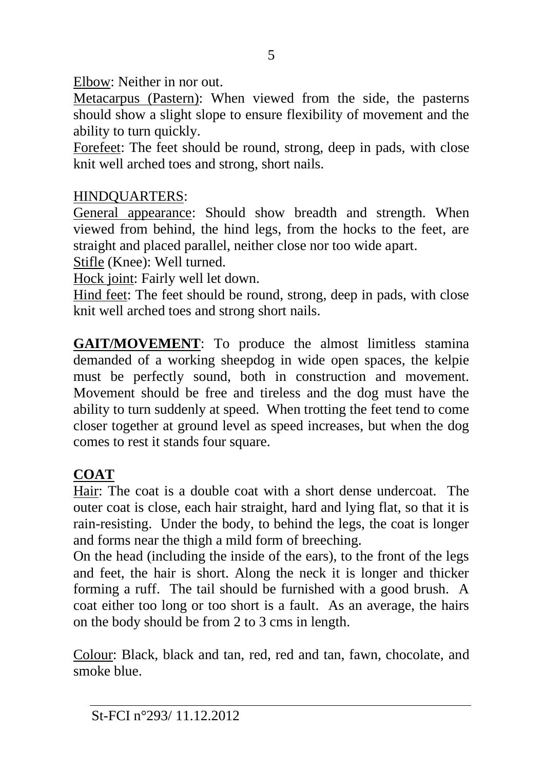Elbow: Neither in nor out.

Metacarpus (Pastern): When viewed from the side, the pasterns should show a slight slope to ensure flexibility of movement and the ability to turn quickly.

Forefeet: The feet should be round, strong, deep in pads, with close knit well arched toes and strong, short nails.

#### HINDQUARTERS:

General appearance: Should show breadth and strength. When viewed from behind, the hind legs, from the hocks to the feet, are straight and placed parallel, neither close nor too wide apart.

Stifle (Knee): Well turned.

Hock joint: Fairly well let down.

Hind feet: The feet should be round, strong, deep in pads, with close knit well arched toes and strong short nails.

**GAIT/MOVEMENT**: To produce the almost limitless stamina demanded of a working sheepdog in wide open spaces, the kelpie must be perfectly sound, both in construction and movement. Movement should be free and tireless and the dog must have the ability to turn suddenly at speed. When trotting the feet tend to come closer together at ground level as speed increases, but when the dog comes to rest it stands four square.

## **COAT**

Hair: The coat is a double coat with a short dense undercoat. The outer coat is close, each hair straight, hard and lying flat, so that it is rain-resisting. Under the body, to behind the legs, the coat is longer and forms near the thigh a mild form of breeching.

On the head (including the inside of the ears), to the front of the legs and feet, the hair is short. Along the neck it is longer and thicker forming a ruff. The tail should be furnished with a good brush. A coat either too long or too short is a fault. As an average, the hairs on the body should be from 2 to 3 cms in length.

Colour: Black, black and tan, red, red and tan, fawn, chocolate, and smoke blue.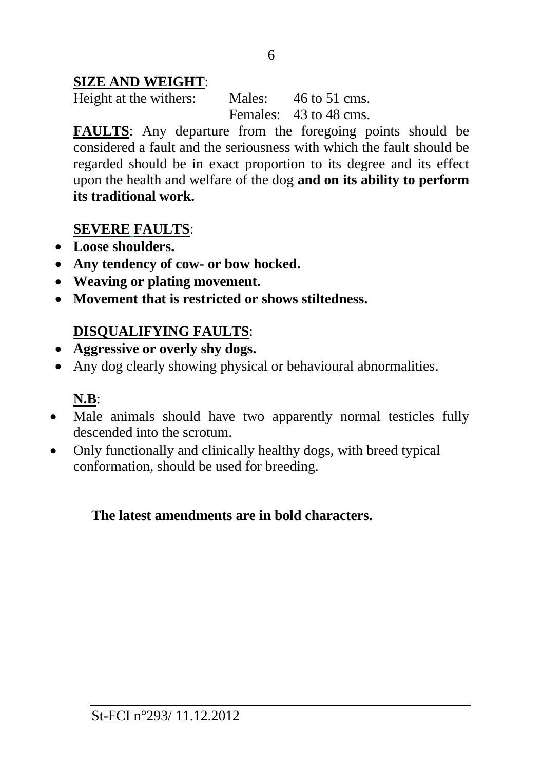### **SIZE AND WEIGHT**:

Height at the withers: Males: 46 to 51 cms. Females: 43 to 48 cms.

**FAULTS**: Any departure from the foregoing points should be considered a fault and the seriousness with which the fault should be regarded should be in exact proportion to its degree and its effect upon the health and welfare of the dog **and on its ability to perform its traditional work.**

#### **SEVERE FAULTS**:

- **Loose shoulders.**
- **Any tendency of cow- or bow hocked.**
- **Weaving or plating movement.**
- **Movement that is restricted or shows stiltedness.**

## **DISQUALIFYING FAULTS**:

- **Aggressive or overly shy dogs.**
- Any dog clearly showing physical or behavioural abnormalities.

## **N.B**:

- Male animals should have two apparently normal testicles fully descended into the scrotum.
- Only functionally and clinically healthy dogs, with breed typical conformation, should be used for breeding.

#### **The latest amendments are in bold characters.**